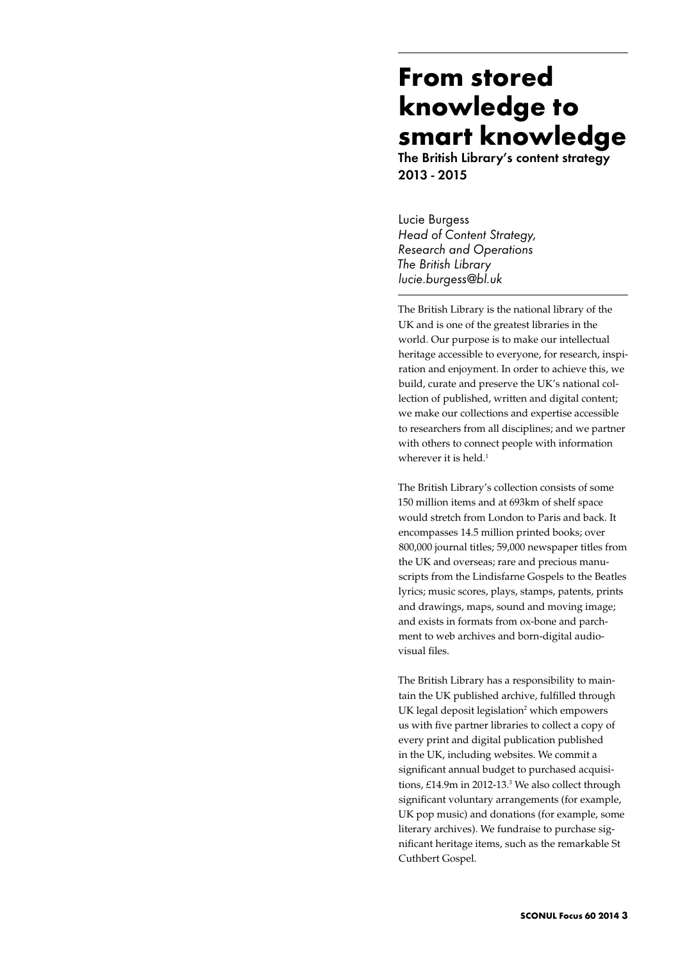# **From stored knowledge to smart knowledge**

The British Library's content strategy 2013 - 2015

Lucie Burgess *Head of Content Strategy, Research and Operations The British Library lucie.burgess@bl.uk*

The British Library is the national library of the UK and is one of the greatest libraries in the world. Our purpose is to make our intellectual heritage accessible to everyone, for research, inspiration and enjoyment. In order to achieve this, we build, curate and preserve the UK's national collection of published, written and digital content; we make our collections and expertise accessible to researchers from all disciplines; and we partner with others to connect people with information wherever it is held. $<sup>1</sup>$ </sup>

The British Library's collection consists of some 150 million items and at 693km of shelf space would stretch from London to Paris and back. It encompasses 14.5 million printed books; over 800,000 journal titles; 59,000 newspaper titles from the UK and overseas; rare and precious manuscripts from the Lindisfarne Gospels to the Beatles lyrics; music scores, plays, stamps, patents, prints and drawings, maps, sound and moving image; and exists in formats from ox-bone and parchment to web archives and born-digital audiovisual files.

The British Library has a responsibility to maintain the UK published archive, fulfilled through UK legal deposit legislation<sup>2</sup> which empowers us with five partner libraries to collect a copy of every print and digital publication published in the UK, including websites. We commit a significant annual budget to purchased acquisitions, £14.9m in 2012-13.<sup>3</sup> We also collect through significant voluntary arrangements (for example, UK pop music) and donations (for example, some literary archives). We fundraise to purchase significant heritage items, such as the remarkable St Cuthbert Gospel.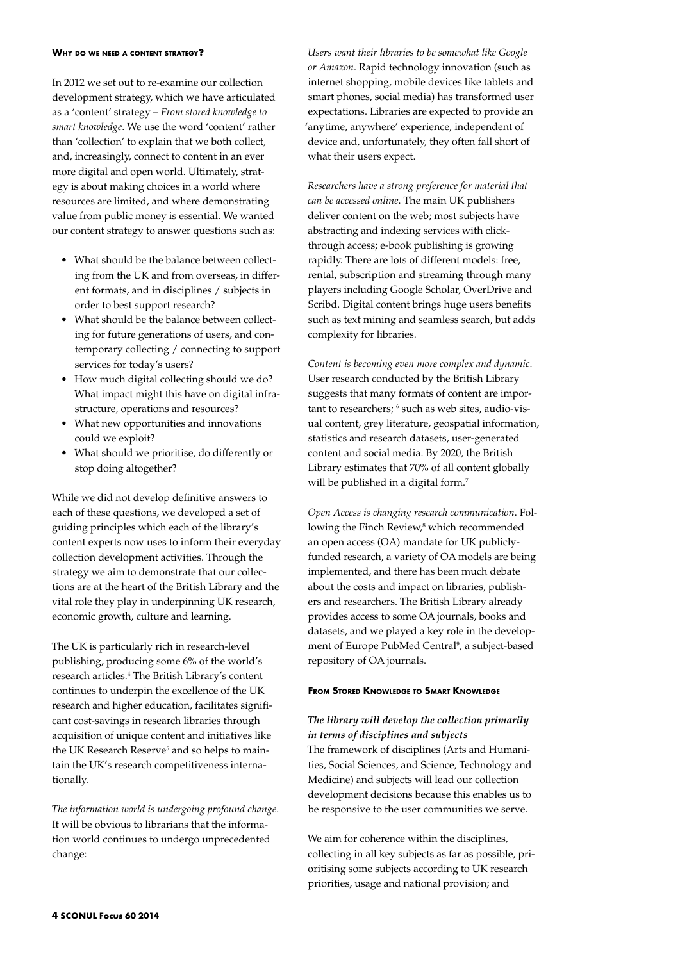#### **Why do we need <sup>a</sup> content strategy?**

In 2012 we set out to re-examine our collection development strategy, which we have articulated as a 'content' strategy – *From stored knowledge to smart knowledge*. We use the word 'content' rather than 'collection' to explain that we both collect, and, increasingly, connect to content in an ever more digital and open world. Ultimately, strategy is about making choices in a world where resources are limited, and where demonstrating value from public money is essential. We wanted our content strategy to answer questions such as:

- What should be the balance between collecting from the UK and from overseas, in different formats, and in disciplines / subjects in order to best support research?
- What should be the balance between collecting for future generations of users, and contemporary collecting / connecting to support services for today's users?
- How much digital collecting should we do? What impact might this have on digital infrastructure, operations and resources?
- • What new opportunities and innovations could we exploit?
- • What should we prioritise, do differently or stop doing altogether?

While we did not develop definitive answers to each of these questions, we developed a set of guiding principles which each of the library's content experts now uses to inform their everyday collection development activities. Through the strategy we aim to demonstrate that our collections are at the heart of the British Library and the vital role they play in underpinning UK research, economic growth, culture and learning.

The UK is particularly rich in research-level publishing, producing some 6% of the world's research articles.<sup>4</sup> The British Library's content continues to underpin the excellence of the UK research and higher education, facilitates significant cost-savings in research libraries through acquisition of unique content and initiatives like the UK Research Reserve<sup>5</sup> and so helps to maintain the UK's research competitiveness internationally.

*The information world is undergoing profound change*. It will be obvious to librarians that the information world continues to undergo unprecedented change:

*Users want their libraries to be somewhat like Google or Amazon*. Rapid technology innovation (such as internet shopping, mobile devices like tablets and smart phones, social media) has transformed user expectations. Libraries are expected to provide an 'anytime, anywhere' experience, independent of device and, unfortunately, they often fall short of what their users expect.

*Researchers have a strong preference for material that can be accessed online*. The main UK publishers deliver content on the web; most subjects have abstracting and indexing services with clickthrough access; e-book publishing is growing rapidly. There are lots of different models: free, rental, subscription and streaming through many players including Google Scholar, OverDrive and Scribd. Digital content brings huge users benefits such as text mining and seamless search, but adds complexity for libraries.

*Content is becoming even more complex and dynamic*. User research conducted by the British Library suggests that many formats of content are important to researchers; <sup>6</sup> such as web sites, audio-visual content, grey literature, geospatial information, statistics and research datasets, user-generated content and social media. By 2020, the British Library estimates that 70% of all content globally will be published in a digital form.<sup>7</sup>

*Open Access is changing research communication*. Following the Finch Review,<sup>8</sup> which recommended an open access (OA) mandate for UK publiclyfunded research, a variety of OA models are being implemented, and there has been much debate about the costs and impact on libraries, publishers and researchers. The British Library already provides access to some OA journals, books and datasets, and we played a key role in the development of Europe PubMed Central<sup>9</sup>, a subject-based repository of OA journals.

### **From Stored Knowledge to Smart Knowledge**

# *The library will develop the collection primarily in terms of disciplines and subjects*

The framework of disciplines (Arts and Humanities, Social Sciences, and Science, Technology and Medicine) and subjects will lead our collection development decisions because this enables us to be responsive to the user communities we serve.

We aim for coherence within the disciplines, collecting in all key subjects as far as possible, prioritising some subjects according to UK research priorities, usage and national provision; and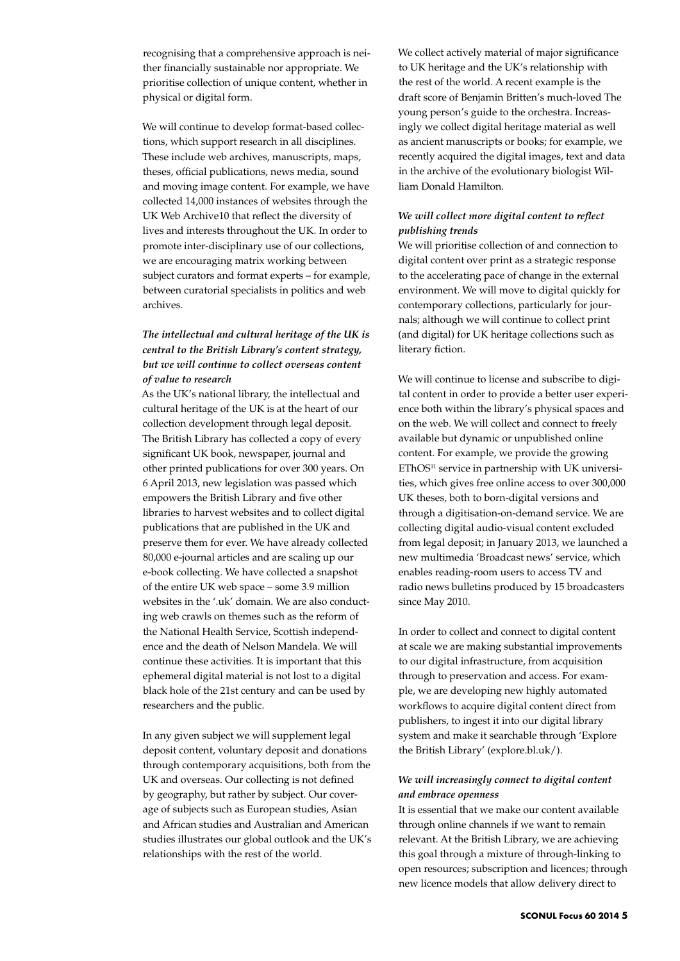recognising that a comprehensive approach is neither financially sustainable nor appropriate. We prioritise collection of unique content, whether in physical or digital form.

We will continue to develop format-based collections, which support research in all disciplines. These include web archives, manuscripts, maps, theses, official publications, news media, sound and moving image content. For example, we have collected 14,000 instances of websites through the UK Web Archive10 that reflect the diversity of lives and interests throughout the UK. In order to promote inter-disciplinary use of our collections, we are encouraging matrix working between subject curators and format experts – for example, between curatorial specialists in politics and web archives.

# *The intellectual and cultural heritage of the UK is central to the British Library's content strategy, but we will continue to collect overseas content of value to research*

As the UK's national library, the intellectual and cultural heritage of the UK is at the heart of our collection development through legal deposit. The British Library has collected a copy of every significant UK book, newspaper, journal and other printed publications for over 300 years. On 6 April 2013, new legislation was passed which empowers the British Library and five other libraries to harvest websites and to collect digital publications that are published in the UK and preserve them for ever. We have already collected 80,000 e-journal articles and are scaling up our e-book collecting. We have collected a snapshot of the entire UK web space – some 3.9 million websites in the '.uk' domain. We are also conducting web crawls on themes such as the reform of the National Health Service, Scottish independence and the death of Nelson Mandela. We will continue these activities. It is important that this ephemeral digital material is not lost to a digital black hole of the 21st century and can be used by researchers and the public.

In any given subject we will supplement legal deposit content, voluntary deposit and donations through contemporary acquisitions, both from the UK and overseas. Our collecting is not defined by geography, but rather by subject. Our coverage of subjects such as European studies, Asian and African studies and Australian and American studies illustrates our global outlook and the UK's relationships with the rest of the world.

We collect actively material of major significance to UK heritage and the UK's relationship with the rest of the world. A recent example is the draft score of Benjamin Britten's much-loved The young person's guide to the orchestra. Increasingly we collect digital heritage material as well as ancient manuscripts or books; for example, we recently acquired the digital images, text and data in the archive of the evolutionary biologist William Donald Hamilton.

## *We will collect more digital content to reflect publishing trends*

We will prioritise collection of and connection to digital content over print as a strategic response to the accelerating pace of change in the external environment. We will move to digital quickly for contemporary collections, particularly for journals; although we will continue to collect print (and digital) for UK heritage collections such as literary fiction.

We will continue to license and subscribe to digital content in order to provide a better user experience both within the library's physical spaces and on the web. We will collect and connect to freely available but dynamic or unpublished online content. For example, we provide the growing EThOS<sup>11</sup> service in partnership with UK universities, which gives free online access to over 300,000 UK theses, both to born-digital versions and through a digitisation-on-demand service. We are collecting digital audio-visual content excluded from legal deposit; in January 2013, we launched a new multimedia 'Broadcast news' service, which enables reading-room users to access TV and radio news bulletins produced by 15 broadcasters since May 2010.

In order to collect and connect to digital content at scale we are making substantial improvements to our digital infrastructure, from acquisition through to preservation and access. For example, we are developing new highly automated workflows to acquire digital content direct from publishers, to ingest it into our digital library system and make it searchable through 'Explore the British Library' (explore.bl.uk/).

## *We will increasingly connect to digital content and embrace openness*

It is essential that we make our content available through online channels if we want to remain relevant. At the British Library, we are achieving this goal through a mixture of through-linking to open resources; subscription and licences; through new licence models that allow delivery direct to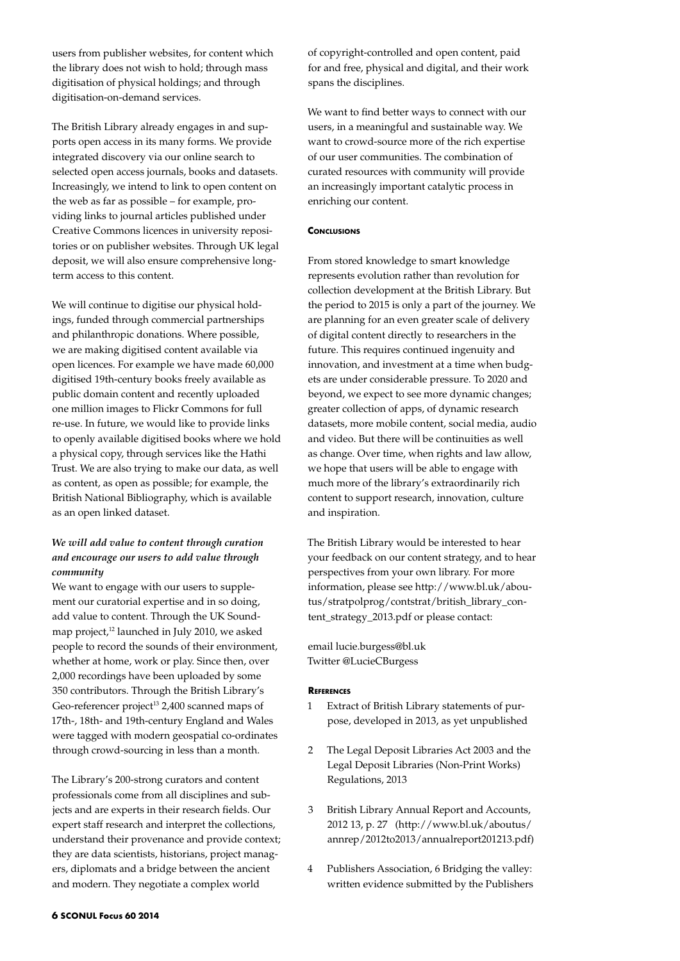users from publisher websites, for content which the library does not wish to hold; through mass digitisation of physical holdings; and through digitisation-on-demand services.

The British Library already engages in and supports open access in its many forms. We provide integrated discovery via our online search to selected open access journals, books and datasets. Increasingly, we intend to link to open content on the web as far as possible – for example, providing links to journal articles published under Creative Commons licences in university repositories or on publisher websites. Through UK legal deposit, we will also ensure comprehensive longterm access to this content.

We will continue to digitise our physical holdings, funded through commercial partnerships and philanthropic donations. Where possible, we are making digitised content available via open licences. For example we have made 60,000 digitised 19th-century books freely available as public domain content and recently uploaded one million images to Flickr Commons for full re-use. In future, we would like to provide links to openly available digitised books where we hold a physical copy, through services like the Hathi Trust. We are also trying to make our data, as well as content, as open as possible; for example, the British National Bibliography, which is available as an open linked dataset.

# *We will add value to content through curation and encourage our users to add value through community*

We want to engage with our users to supplement our curatorial expertise and in so doing, add value to content. Through the UK Soundmap project,<sup>12</sup> launched in July 2010, we asked people to record the sounds of their environment, whether at home, work or play. Since then, over 2,000 recordings have been uploaded by some 350 contributors. Through the British Library's Geo-referencer project<sup>13</sup> 2,400 scanned maps of 17th-, 18th- and 19th-century England and Wales were tagged with modern geospatial co-ordinates through crowd-sourcing in less than a month.

The Library's 200-strong curators and content professionals come from all disciplines and subjects and are experts in their research fields. Our expert staff research and interpret the collections, understand their provenance and provide context; they are data scientists, historians, project managers, diplomats and a bridge between the ancient and modern. They negotiate a complex world

of copyright-controlled and open content, paid for and free, physical and digital, and their work spans the disciplines.

We want to find better ways to connect with our users, in a meaningful and sustainable way. We want to crowd-source more of the rich expertise of our user communities. The combination of curated resources with community will provide an increasingly important catalytic process in enriching our content.

## **CONCLUSIONS**

From stored knowledge to smart knowledge represents evolution rather than revolution for collection development at the British Library. But the period to 2015 is only a part of the journey. We are planning for an even greater scale of delivery of digital content directly to researchers in the future. This requires continued ingenuity and innovation, and investment at a time when budgets are under considerable pressure. To 2020 and beyond, we expect to see more dynamic changes; greater collection of apps, of dynamic research datasets, more mobile content, social media, audio and video. But there will be continuities as well as change. Over time, when rights and law allow, we hope that users will be able to engage with much more of the library's extraordinarily rich content to support research, innovation, culture and inspiration.

The British Library would be interested to hear your feedback on our content strategy, and to hear perspectives from your own library. For more information, please see http://www.bl.uk/aboutus/stratpolprog/contstrat/british\_library\_content\_strategy\_2013.pdf or please contact:

email lucie.burgess@bl.uk Twitter @LucieCBurgess

### **References**

- 1 Extract of British Library statements of purpose, developed in 2013, as yet unpublished
- 2 The Legal Deposit Libraries Act 2003 and the Legal Deposit Libraries (Non-Print Works) Regulations, 2013
- 3 British Library Annual Report and Accounts, 2012 13, p. 27 (http://www.bl.uk/aboutus/ annrep/2012to2013/annualreport201213.pdf)
- 4 Publishers Association, 6 Bridging the valley: written evidence submitted by the Publishers